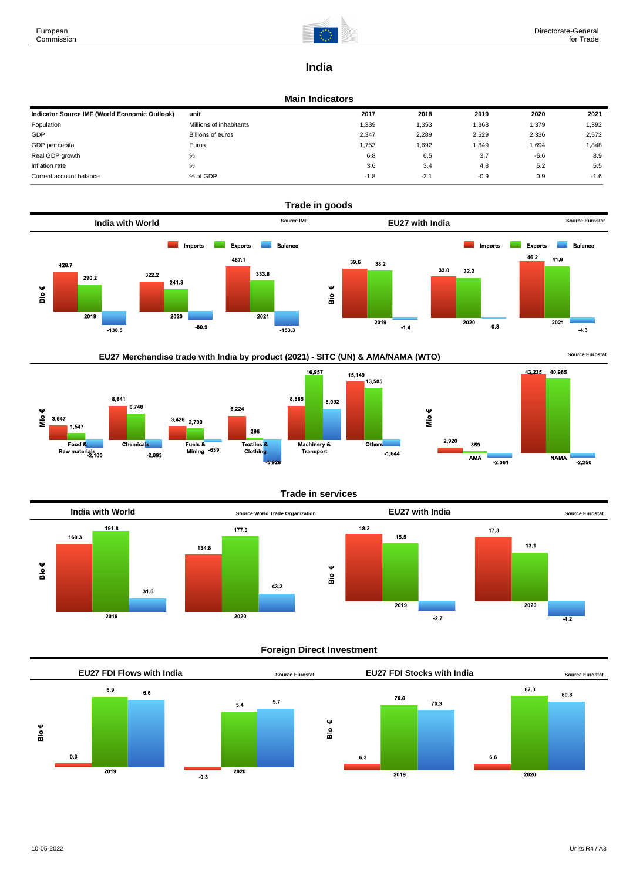8,841

Mio €

3,647

1.547

Food &<br>Food &<br>Raw materials 100

 $6,748$ 

Chemicals

 $-2,093$ 



# **India**

#### **Main Indicators**

| Indicator Source IMF (World Economic Outlook) | unit                    | 2017   | 2018   | 2019   | 2020   | 2021   |
|-----------------------------------------------|-------------------------|--------|--------|--------|--------|--------|
| Population                                    | Millions of inhabitants | 1,339  | 1,353  | 1,368  | 1,379  | 1,392  |
| GDP                                           | Billions of euros       | 2,347  | 2,289  | 2,529  | 2,336  | 2,572  |
| GDP per capita                                | Euros                   | 1,753  | 1,692  | 1,849  | 1,694  | 1,848  |
| Real GDP growth                               | %                       | 6.8    | 6.5    | 3.7    | $-6.6$ | 8.9    |
| Inflation rate                                | %                       | 3.6    | 3.4    | 4.8    | 6.2    | 5.5    |
| Current account balance                       | % of GDP                | $-1.8$ | $-2.1$ | $-0.9$ | 0.9    | $-1.6$ |





296

Textiles 8

Clothin

 $6,224$ 

 $3,428$  2,790

Fuels &

Pues &<br>Mining -639

8,865





Machinery &<br>Transport

8,092



## **Foreign Direct Investment**